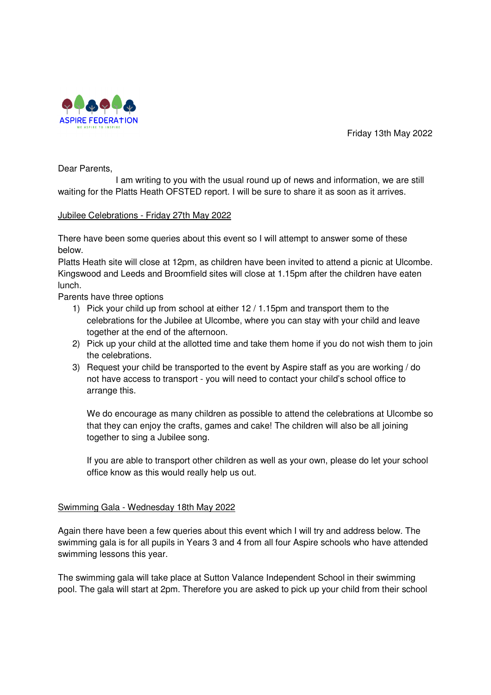

Friday 13th May 2022

Dear Parents,

 I am writing to you with the usual round up of news and information, we are still waiting for the Platts Heath OFSTED report. I will be sure to share it as soon as it arrives.

# Jubilee Celebrations - Friday 27th May 2022

There have been some queries about this event so I will attempt to answer some of these below.

Platts Heath site will close at 12pm, as children have been invited to attend a picnic at Ulcombe. Kingswood and Leeds and Broomfield sites will close at 1.15pm after the children have eaten lunch.

Parents have three options

- 1) Pick your child up from school at either 12 / 1.15pm and transport them to the celebrations for the Jubilee at Ulcombe, where you can stay with your child and leave together at the end of the afternoon.
- 2) Pick up your child at the allotted time and take them home if you do not wish them to join the celebrations.
- 3) Request your child be transported to the event by Aspire staff as you are working / do not have access to transport - you will need to contact your child's school office to arrange this.

We do encourage as many children as possible to attend the celebrations at Ulcombe so that they can enjoy the crafts, games and cake! The children will also be all joining together to sing a Jubilee song.

If you are able to transport other children as well as your own, please do let your school office know as this would really help us out.

## Swimming Gala - Wednesday 18th May 2022

Again there have been a few queries about this event which I will try and address below. The swimming gala is for all pupils in Years 3 and 4 from all four Aspire schools who have attended swimming lessons this year.

The swimming gala will take place at Sutton Valance Independent School in their swimming pool. The gala will start at 2pm. Therefore you are asked to pick up your child from their school